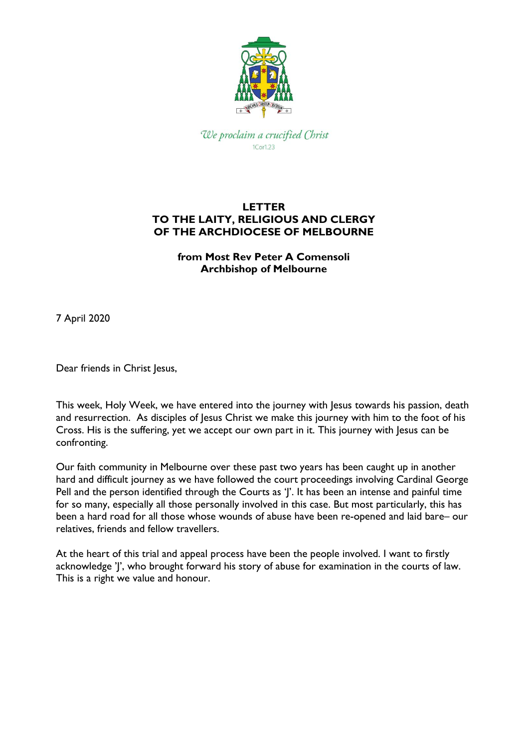

We proclaim a crucified Christ 1Cor1.23

## **LETTER TO THE LAITY, RELIGIOUS AND CLERGY OF THE ARCHDIOCESE OF MELBOURNE**

**from Most Rev Peter A Comensoli Archbishop of Melbourne**

7 April 2020

Dear friends in Christ Jesus,

This week, Holy Week, we have entered into the journey with Jesus towards his passion, death and resurrection. As disciples of Jesus Christ we make this journey with him to the foot of his Cross. His is the suffering, yet we accept our own part in it. This journey with Jesus can be confronting.

Our faith community in Melbourne over these past two years has been caught up in another hard and difficult journey as we have followed the court proceedings involving Cardinal George Pell and the person identified through the Courts as ']'. It has been an intense and painful time for so many, especially all those personally involved in this case. But most particularly, this has been a hard road for all those whose wounds of abuse have been re-opened and laid bare– our relatives, friends and fellow travellers.

At the heart of this trial and appeal process have been the people involved. I want to firstly acknowledge 'J', who brought forward his story of abuse for examination in the courts of law. This is a right we value and honour.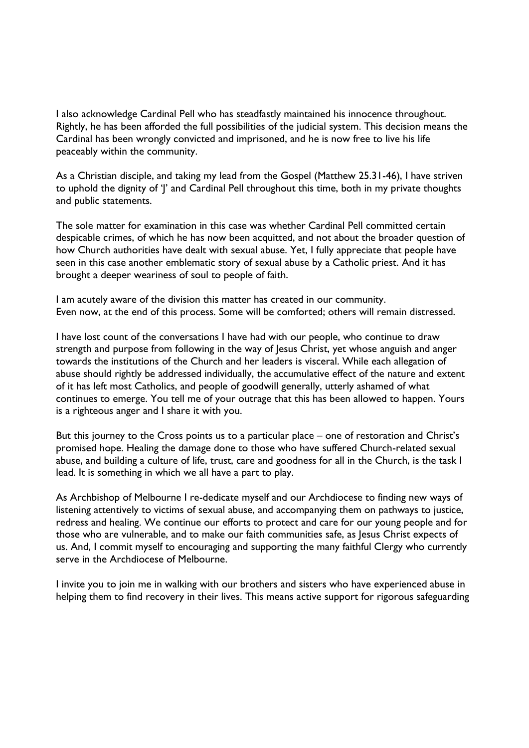I also acknowledge Cardinal Pell who has steadfastly maintained his innocence throughout. Rightly, he has been afforded the full possibilities of the judicial system. This decision means the Cardinal has been wrongly convicted and imprisoned, and he is now free to live his life peaceably within the community.

As a Christian disciple, and taking my lead from the Gospel (Matthew 25.31-46), I have striven to uphold the dignity of 'J' and Cardinal Pell throughout this time, both in my private thoughts and public statements.

The sole matter for examination in this case was whether Cardinal Pell committed certain despicable crimes, of which he has now been acquitted, and not about the broader question of how Church authorities have dealt with sexual abuse. Yet, I fully appreciate that people have seen in this case another emblematic story of sexual abuse by a Catholic priest. And it has brought a deeper weariness of soul to people of faith.

I am acutely aware of the division this matter has created in our community. Even now, at the end of this process. Some will be comforted; others will remain distressed.

I have lost count of the conversations I have had with our people, who continue to draw strength and purpose from following in the way of Jesus Christ, yet whose anguish and anger towards the institutions of the Church and her leaders is visceral. While each allegation of abuse should rightly be addressed individually, the accumulative effect of the nature and extent of it has left most Catholics, and people of goodwill generally, utterly ashamed of what continues to emerge. You tell me of your outrage that this has been allowed to happen. Yours is a righteous anger and I share it with you.

But this journey to the Cross points us to a particular place – one of restoration and Christ's promised hope. Healing the damage done to those who have suffered Church-related sexual abuse, and building a culture of life, trust, care and goodness for all in the Church, is the task I lead. It is something in which we all have a part to play.

As Archbishop of Melbourne I re-dedicate myself and our Archdiocese to finding new ways of listening attentively to victims of sexual abuse, and accompanying them on pathways to justice, redress and healing. We continue our efforts to protect and care for our young people and for those who are vulnerable, and to make our faith communities safe, as Jesus Christ expects of us. And, I commit myself to encouraging and supporting the many faithful Clergy who currently serve in the Archdiocese of Melbourne.

I invite you to join me in walking with our brothers and sisters who have experienced abuse in helping them to find recovery in their lives. This means active support for rigorous safeguarding